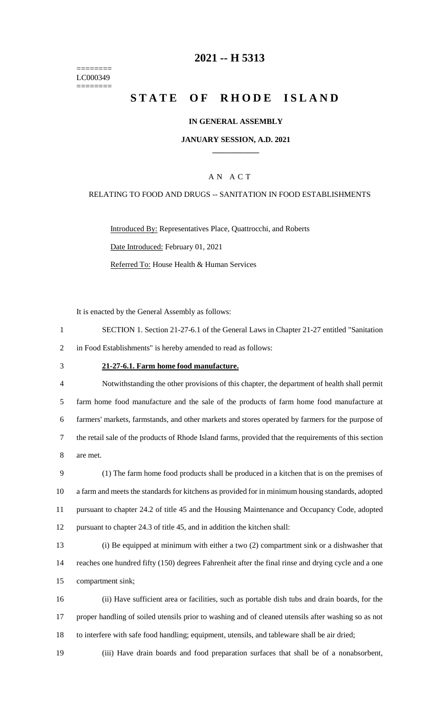======== LC000349 ========

# **-- H 5313**

# **STATE OF RHODE ISLAND**

### **IN GENERAL ASSEMBLY**

### **JANUARY SESSION, A.D. 2021 \_\_\_\_\_\_\_\_\_\_\_\_**

### A N A C T

### RELATING TO FOOD AND DRUGS -- SANITATION IN FOOD ESTABLISHMENTS

Introduced By: Representatives Place, Quattrocchi, and Roberts Date Introduced: February 01, 2021 Referred To: House Health & Human Services

It is enacted by the General Assembly as follows:

- SECTION 1. Section 21-27-6.1 of the General Laws in Chapter 21-27 entitled "Sanitation in Food Establishments" is hereby amended to read as follows:
- 

#### **21-27-6.1. Farm home food manufacture.**

 Notwithstanding the other provisions of this chapter, the department of health shall permit farm home food manufacture and the sale of the products of farm home food manufacture at farmers' markets, farmstands, and other markets and stores operated by farmers for the purpose of the retail sale of the products of Rhode Island farms, provided that the requirements of this section are met.

 (1) The farm home food products shall be produced in a kitchen that is on the premises of a farm and meets the standards for kitchens as provided for in minimum housing standards, adopted pursuant to chapter 24.2 of title 45 and the Housing Maintenance and Occupancy Code, adopted pursuant to chapter 24.3 of title 45, and in addition the kitchen shall:

 (i) Be equipped at minimum with either a two (2) compartment sink or a dishwasher that reaches one hundred fifty (150) degrees Fahrenheit after the final rinse and drying cycle and a one compartment sink;

 (ii) Have sufficient area or facilities, such as portable dish tubs and drain boards, for the proper handling of soiled utensils prior to washing and of cleaned utensils after washing so as not to interfere with safe food handling; equipment, utensils, and tableware shall be air dried;

(iii) Have drain boards and food preparation surfaces that shall be of a nonabsorbent,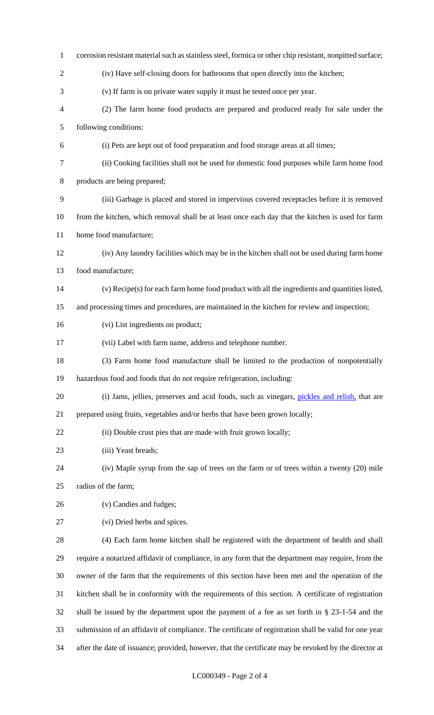| $\mathbf{1}$   | corrosion resistant material such as stainless steel, formica or other chip resistant, nonpitted surface; |
|----------------|-----------------------------------------------------------------------------------------------------------|
| $\overline{2}$ | (iv) Have self-closing doors for bathrooms that open directly into the kitchen;                           |
| 3              | (v) If farm is on private water supply it must be tested once per year.                                   |
| $\overline{4}$ | (2) The farm home food products are prepared and produced ready for sale under the                        |
| 5              | following conditions:                                                                                     |
| 6              | (i) Pets are kept out of food preparation and food storage areas at all times;                            |
| $\tau$         | (ii) Cooking facilities shall not be used for domestic food purposes while farm home food                 |
| $8\,$          | products are being prepared;                                                                              |
| 9              | (iii) Garbage is placed and stored in impervious covered receptacles before it is removed                 |
| 10             | from the kitchen, which removal shall be at least once each day that the kitchen is used for farm         |
| 11             | home food manufacture;                                                                                    |
| 12             | (iv) Any laundry facilities which may be in the kitchen shall not be used during farm home                |
| 13             | food manufacture;                                                                                         |
| 14             | (v) Recipe(s) for each farm home food product with all the ingredients and quantities listed,             |
| 15             | and processing times and procedures, are maintained in the kitchen for review and inspection;             |
| 16             | (vi) List ingredients on product;                                                                         |
| 17             | (vii) Label with farm name, address and telephone number.                                                 |
| 18             | (3) Farm home food manufacture shall be limited to the production of nonpotentially                       |
| 19             | hazardous food and foods that do not require refrigeration, including:                                    |
| 20             | (i) Jams, jellies, preserves and acid foods, such as vinegars, pickles and relish, that are               |
| 21             | prepared using fruits, vegetables and/or herbs that have been grown locally;                              |
| 22             | (ii) Double crust pies that are made with fruit grown locally;                                            |
| 23             | (iii) Yeast breads;                                                                                       |
| 24             | (iv) Maple syrup from the sap of trees on the farm or of trees within a twenty (20) mile                  |
| 25             | radius of the farm;                                                                                       |
| 26             | (v) Candies and fudges;                                                                                   |
| 27             | (vi) Dried herbs and spices.                                                                              |
| 28             | (4) Each farm home kitchen shall be registered with the department of health and shall                    |
| 29             | require a notarized affidavit of compliance, in any form that the department may require, from the        |
| 30             | owner of the farm that the requirements of this section have been met and the operation of the            |
| 31             | kitchen shall be in conformity with the requirements of this section. A certificate of registration       |
| 32             | shall be issued by the department upon the payment of a fee as set forth in $\S$ 23-1-54 and the          |
| 33             | submission of an affidavit of compliance. The certificate of registration shall be valid for one year     |
| 34             | after the date of issuance; provided, however, that the certificate may be revoked by the director at     |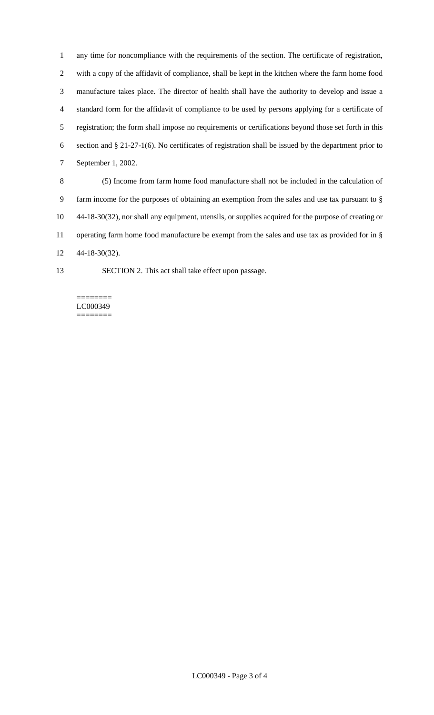any time for noncompliance with the requirements of the section. The certificate of registration, with a copy of the affidavit of compliance, shall be kept in the kitchen where the farm home food manufacture takes place. The director of health shall have the authority to develop and issue a standard form for the affidavit of compliance to be used by persons applying for a certificate of registration; the form shall impose no requirements or certifications beyond those set forth in this section and § 21-27-1(6). No certificates of registration shall be issued by the department prior to September 1, 2002.

 (5) Income from farm home food manufacture shall not be included in the calculation of farm income for the purposes of obtaining an exemption from the sales and use tax pursuant to § 44-18-30(32), nor shall any equipment, utensils, or supplies acquired for the purpose of creating or operating farm home food manufacture be exempt from the sales and use tax as provided for in § 44-18-30(32).

SECTION 2. This act shall take effect upon passage.

#### ======== LC000349 ========